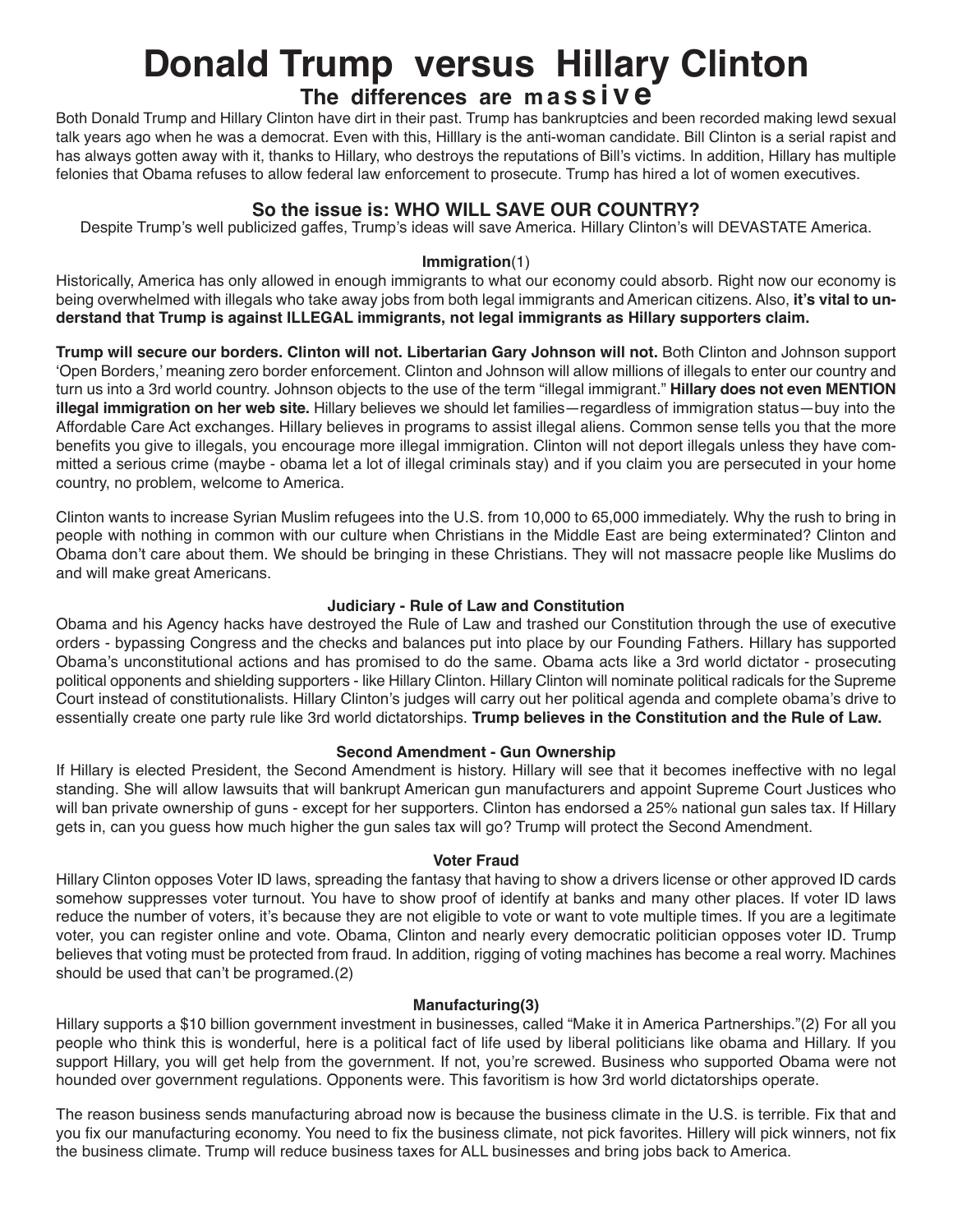# **Donald Trump versus Hillary Clinton**

## **The differences are <sup>m</sup> a s s i v e**

Both Donald Trump and Hillary Clinton have dirt in their past. Trump has bankruptcies and been recorded making lewd sexual talk years ago when he was a democrat. Even with this, Hilllary is the anti-woman candidate. Bill Clinton is a serial rapist and has always gotten away with it, thanks to Hillary, who destroys the reputations of Bill's victims. In addition, Hillary has multiple felonies that Obama refuses to allow federal law enforcement to prosecute. Trump has hired a lot of women executives.

### **So the issue is: WHO WILL SAVE OUR COUNTRY?**

Despite Trump's well publicized gaffes, Trump's ideas will save America. Hillary Clinton's will DEVASTATE America.

#### **Immigration**(1)

Historically, America has only allowed in enough immigrants to what our economy could absorb. Right now our economy is being overwhelmed with illegals who take away jobs from both legal immigrants and American citizens. Also, **it's vital to understand that Trump is against ILLEGAL immigrants, not legal immigrants as Hillary supporters claim.**

**Trump will secure our borders. Clinton will not. Libertarian Gary Johnson will not.** Both Clinton and Johnson support 'Open Borders,' meaning zero border enforcement. Clinton and Johnson will allow millions of illegals to enter our country and turn us into a 3rd world country. Johnson objects to the use of the term "illegal immigrant." **Hillary does not even MENTION illegal immigration on her web site.** Hillary believes we should let families—regardless of immigration status—buy into the Affordable Care Act exchanges. Hillary believes in programs to assist illegal aliens. Common sense tells you that the more benefits you give to illegals, you encourage more illegal immigration. Clinton will not deport illegals unless they have committed a serious crime (maybe - obama let a lot of illegal criminals stay) and if you claim you are persecuted in your home country, no problem, welcome to America.

Clinton wants to increase Syrian Muslim refugees into the U.S. from 10,000 to 65,000 immediately. Why the rush to bring in people with nothing in common with our culture when Christians in the Middle East are being exterminated? Clinton and Obama don't care about them. We should be bringing in these Christians. They will not massacre people like Muslims do and will make great Americans.

#### **Judiciary - Rule of Law and Constitution**

Obama and his Agency hacks have destroyed the Rule of Law and trashed our Constitution through the use of executive orders - bypassing Congress and the checks and balances put into place by our Founding Fathers. Hillary has supported Obama's unconstitutional actions and has promised to do the same. Obama acts like a 3rd world dictator - prosecuting political opponents and shielding supporters - like Hillary Clinton. Hillary Clinton will nominate political radicals for the Supreme Court instead of constitutionalists. Hillary Clinton's judges will carry out her political agenda and complete obama's drive to essentially create one party rule like 3rd world dictatorships. **Trump believes in the Constitution and the Rule of Law.**

#### **Second Amendment - Gun Ownership**

If Hillary is elected President, the Second Amendment is history. Hillary will see that it becomes ineffective with no legal standing. She will allow lawsuits that will bankrupt American gun manufacturers and appoint Supreme Court Justices who will ban private ownership of guns - except for her supporters. Clinton has endorsed a 25% national gun sales tax. If Hillary gets in, can you guess how much higher the gun sales tax will go? Trump will protect the Second Amendment.

#### **Voter Fraud**

Hillary Clinton opposes Voter ID laws, spreading the fantasy that having to show a drivers license or other approved ID cards somehow suppresses voter turnout. You have to show proof of identify at banks and many other places. If voter ID laws reduce the number of voters, it's because they are not eligible to vote or want to vote multiple times. If you are a legitimate voter, you can register online and vote. Obama, Clinton and nearly every democratic politician opposes voter ID. Trump believes that voting must be protected from fraud. In addition, rigging of voting machines has become a real worry. Machines should be used that can't be programed.(2)

#### **Manufacturing(3)**

Hillary supports a \$10 billion government investment in businesses, called "Make it in America Partnerships."(2) For all you people who think this is wonderful, here is a political fact of life used by liberal politicians like obama and Hillary. If you support Hillary, you will get help from the government. If not, you're screwed. Business who supported Obama were not hounded over government regulations. Opponents were. This favoritism is how 3rd world dictatorships operate.

The reason business sends manufacturing abroad now is because the business climate in the U.S. is terrible. Fix that and you fix our manufacturing economy. You need to fix the business climate, not pick favorites. Hillery will pick winners, not fix the business climate. Trump will reduce business taxes for ALL businesses and bring jobs back to America.